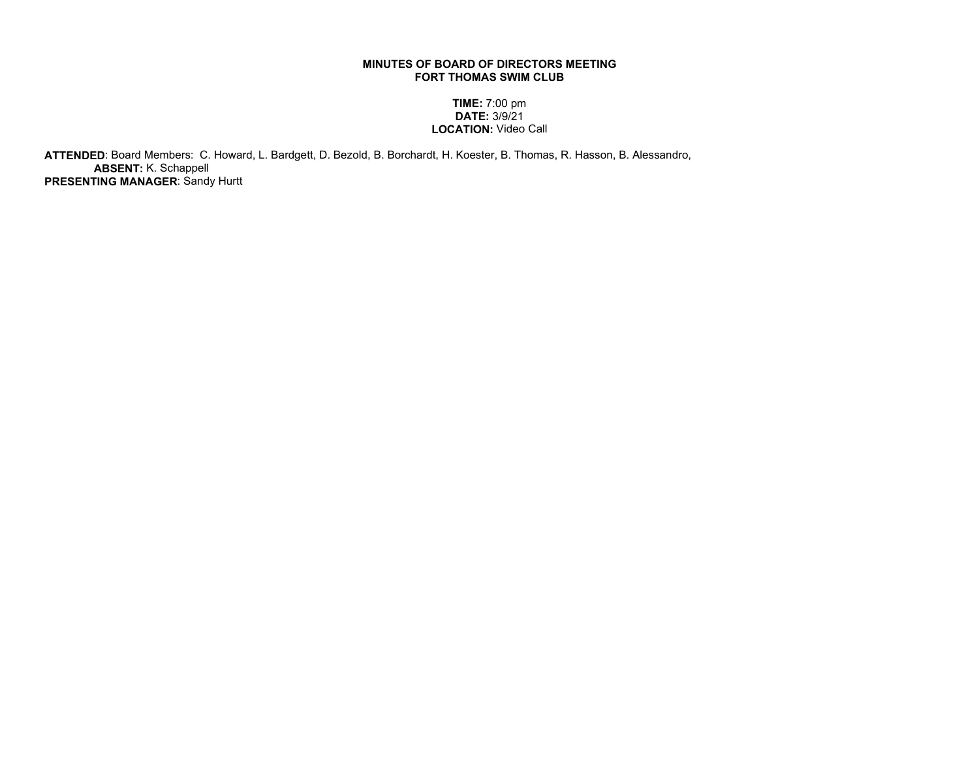## MINUTES OF BOARD OF DIRECTORS MEETING FORT THOMAS SWIM CLUB

## TIME: 7:00 pm DATE: 3/9/21 LOCATION: Video Call

 ATTENDED: Board Members: C. Howard, L. Bardgett, D. Bezold, B. Borchardt, H. Koester, B. Thomas, R. Hasson, B. Alessandro, ABSENT: K. Schappell PRESENTING MANAGER: Sandy Hurtt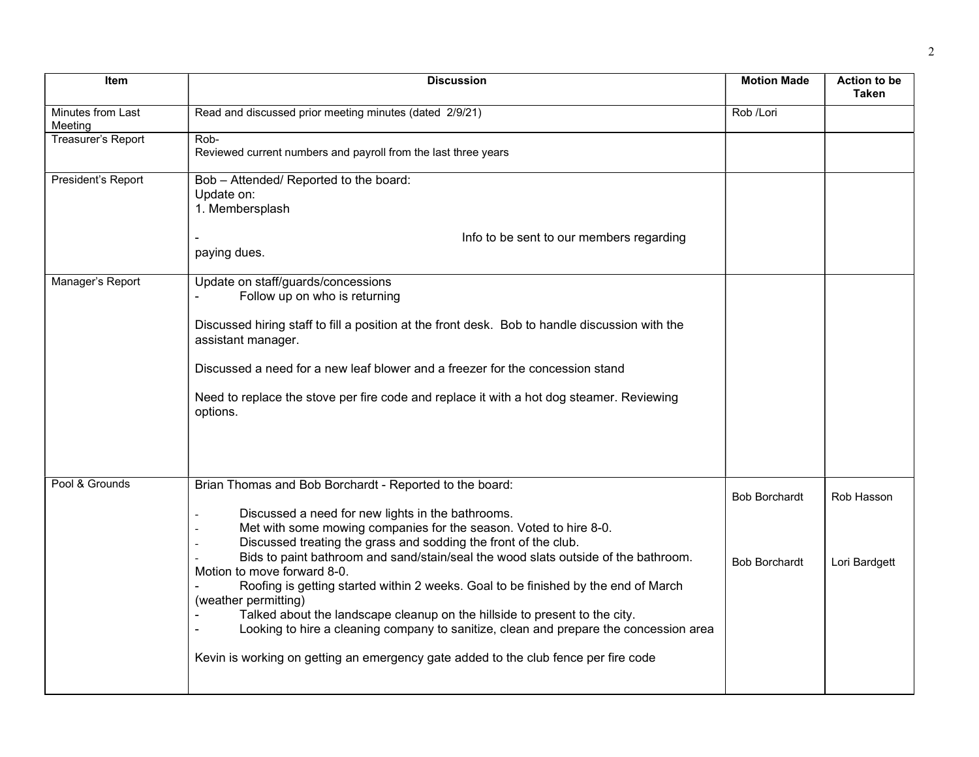| <b>Item</b>                  | <b>Discussion</b>                                                                                                                                                                                       | <b>Motion Made</b>   | <b>Action to be</b><br><b>Taken</b> |
|------------------------------|---------------------------------------------------------------------------------------------------------------------------------------------------------------------------------------------------------|----------------------|-------------------------------------|
| Minutes from Last<br>Meeting | Read and discussed prior meeting minutes (dated 2/9/21)                                                                                                                                                 | Rob /Lori            |                                     |
| Treasurer's Report           | Rob-<br>Reviewed current numbers and payroll from the last three years                                                                                                                                  |                      |                                     |
| President's Report           | Bob - Attended/ Reported to the board:<br>Update on:<br>1. Membersplash                                                                                                                                 |                      |                                     |
|                              | Info to be sent to our members regarding<br>paying dues.                                                                                                                                                |                      |                                     |
| Manager's Report             | Update on staff/guards/concessions<br>Follow up on who is returning                                                                                                                                     |                      |                                     |
|                              | Discussed hiring staff to fill a position at the front desk. Bob to handle discussion with the<br>assistant manager.                                                                                    |                      |                                     |
|                              | Discussed a need for a new leaf blower and a freezer for the concession stand                                                                                                                           |                      |                                     |
|                              | Need to replace the stove per fire code and replace it with a hot dog steamer. Reviewing<br>options.                                                                                                    |                      |                                     |
|                              |                                                                                                                                                                                                         |                      |                                     |
| Pool & Grounds               | Brian Thomas and Bob Borchardt - Reported to the board:                                                                                                                                                 | <b>Bob Borchardt</b> | Rob Hasson                          |
|                              | Discussed a need for new lights in the bathrooms.<br>Met with some mowing companies for the season. Voted to hire 8-0.<br>Discussed treating the grass and sodding the front of the club.               |                      |                                     |
|                              | Bids to paint bathroom and sand/stain/seal the wood slats outside of the bathroom.<br>Motion to move forward 8-0.<br>Roofing is getting started within 2 weeks. Goal to be finished by the end of March | <b>Bob Borchardt</b> | Lori Bardgett                       |
|                              | (weather permitting)<br>Talked about the landscape cleanup on the hillside to present to the city.<br>Looking to hire a cleaning company to sanitize, clean and prepare the concession area             |                      |                                     |
|                              | Kevin is working on getting an emergency gate added to the club fence per fire code                                                                                                                     |                      |                                     |